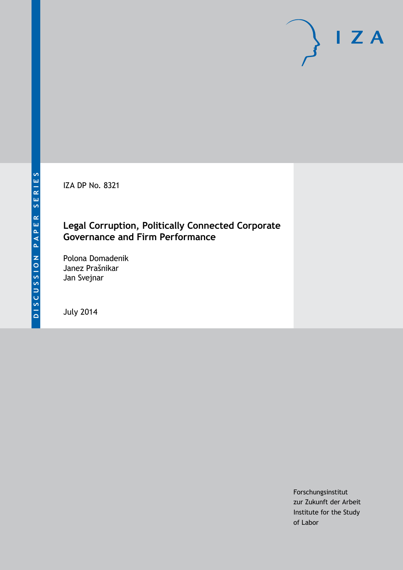IZA DP No. 8321

## **Legal Corruption, Politically Connected Corporate Governance and Firm Performance**

Polona Domadenik Janez Prašnikar Jan Svejnar

July 2014

Forschungsinstitut zur Zukunft der Arbeit Institute for the Study of Labor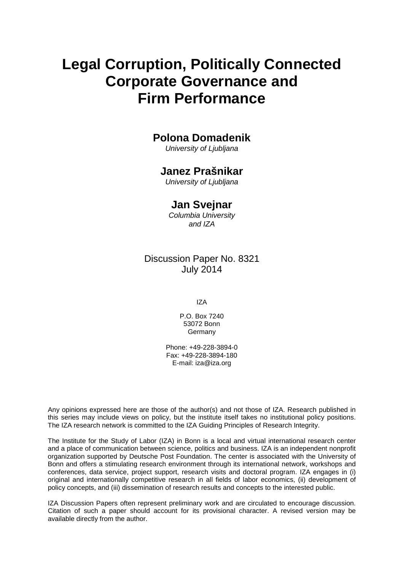# **Legal Corruption, Politically Connected Corporate Governance and Firm Performance**

## **Polona Domadenik**

*University of Ljubljana*

## **Janez Prašnikar**

*University of Ljubljana*

## **Jan Svejnar**

*Columbia University and IZA*

### Discussion Paper No. 8321 July 2014

IZA

P.O. Box 7240 53072 Bonn **Germany** 

Phone: +49-228-3894-0 Fax: +49-228-3894-180 E-mail: [iza@iza.org](mailto:iza@iza.org)

Any opinions expressed here are those of the author(s) and not those of IZA. Research published in this series may include views on policy, but the institute itself takes no institutional policy positions. The IZA research network is committed to the IZA Guiding Principles of Research Integrity.

The Institute for the Study of Labor (IZA) in Bonn is a local and virtual international research center and a place of communication between science, politics and business. IZA is an independent nonprofit organization supported by Deutsche Post Foundation. The center is associated with the University of Bonn and offers a stimulating research environment through its international network, workshops and conferences, data service, project support, research visits and doctoral program. IZA engages in (i) original and internationally competitive research in all fields of labor economics, (ii) development of policy concepts, and (iii) dissemination of research results and concepts to the interested public.

IZA Discussion Papers often represent preliminary work and are circulated to encourage discussion. Citation of such a paper should account for its provisional character. A revised version may be available directly from the author.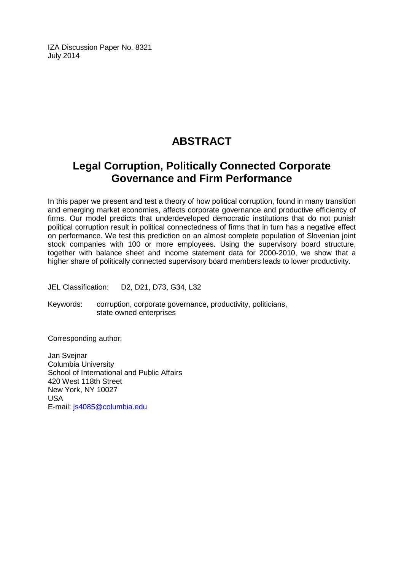IZA Discussion Paper No. 8321 July 2014

## **ABSTRACT**

## **Legal Corruption, Politically Connected Corporate Governance and Firm Performance**

In this paper we present and test a theory of how political corruption, found in many transition and emerging market economies, affects corporate governance and productive efficiency of firms. Our model predicts that underdeveloped democratic institutions that do not punish political corruption result in political connectedness of firms that in turn has a negative effect on performance. We test this prediction on an almost complete population of Slovenian joint stock companies with 100 or more employees. Using the supervisory board structure, together with balance sheet and income statement data for 2000-2010, we show that a higher share of politically connected supervisory board members leads to lower productivity.

JEL Classification: D2, D21, D73, G34, L32

Keywords: corruption, corporate governance, productivity, politicians, state owned enterprises

Corresponding author:

Jan Svejnar Columbia University School of International and Public Affairs 420 West 118th Street New York, NY 10027 USA E-mail: [js4085@columbia.edu](mailto:js4085@columbia.edu)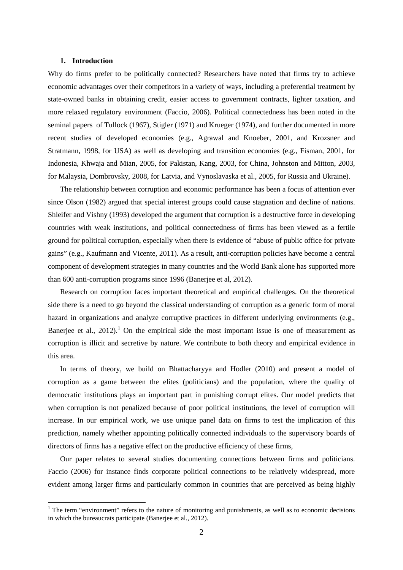#### **1. Introduction**

Why do firms prefer to be politically connected? Researchers have noted that firms try to achieve economic advantages over their competitors in a variety of ways, including a preferential treatment by state-owned banks in obtaining credit, easier access to government contracts, lighter taxation, and more relaxed regulatory environment (Faccio, 2006). Political connectedness has been noted in the seminal papers of Tullock (1967), Stigler (1971) and Krueger (1974), and further documented in more recent studies of developed economies (e.g., Agrawal and Knoeber, 2001, and Krozsner and Stratmann, 1998, for USA) as well as developing and transition economies (e.g., Fisman, 2001, for Indonesia, Khwaja and Mian, 2005, for Pakistan, Kang, 2003, for China, Johnston and Mitton, 2003, for Malaysia, Dombrovsky, 2008, for Latvia, and Vynoslavaska et al., 2005, for Russia and Ukraine).

The relationship between corruption and economic performance has been a focus of attention ever since Olson (1982) argued that special interest groups could cause stagnation and decline of nations. Shleifer and Vishny (1993) developed the argument that corruption is a destructive force in developing countries with weak institutions, and political connectedness of firms has been viewed as a fertile ground for political corruption, especially when there is evidence of "abuse of public office for private gains" (e.g., Kaufmann and Vicente, 2011). As a result, anti-corruption policies have become a central component of development strategies in many countries and the World Bank alone has supported more than 600 anti-corruption programs since 1996 (Banerjee et al, 2012).

Research on corruption faces important theoretical and empirical challenges. On the theoretical side there is a need to go beyond the classical understanding of corruption as a generic form of moral hazard in organizations and analyze corruptive practices in different underlying environments (e.g., Banerjee et al.,  $2012$ ).<sup>1</sup> On the empirical side the most important issue is one of measurement as corruption is illicit and secretive by nature. We contribute to both theory and empirical evidence in this area.

In terms of theory, we build on Bhattacharyya and Hodler (2010) and present a model of corruption as a game between the elites (politicians) and the population, where the quality of democratic institutions plays an important part in punishing corrupt elites. Our model predicts that when corruption is not penalized because of poor political institutions, the level of corruption will increase. In our empirical work, we use unique panel data on firms to test the implication of this prediction, namely whether appointing politically connected individuals to the supervisory boards of directors of firms has a negative effect on the productive efficiency of these firms,

<span id="page-3-0"></span>Our paper relates to several studies documenting connections between firms and politicians. Faccio (2006) for instance finds corporate political connections to be relatively widespread, more evident among larger firms and particularly common in countries that are perceived as being highly

<sup>&</sup>lt;sup>1</sup> The term "environment" refers to the nature of monitoring and punishments, as well as to economic decisions in which the bureaucrats participate (Banerjee et al., 2012).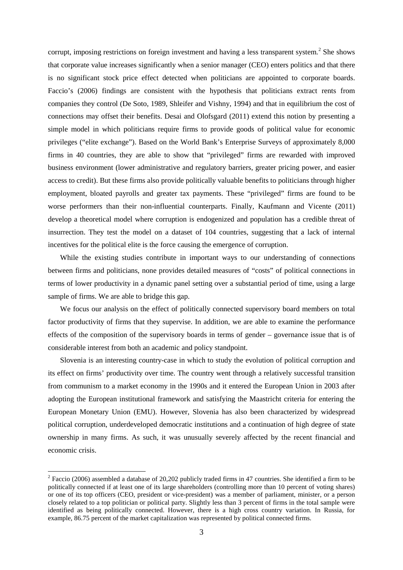corrupt, imposing restrictions on foreign investment and having a less transparent system.<sup>[2](#page-3-0)</sup> She shows that corporate value increases significantly when a senior manager (CEO) enters politics and that there is no significant stock price effect detected when politicians are appointed to corporate boards. Faccio's (2006) findings are consistent with the hypothesis that politicians extract rents from companies they control (De Soto, 1989, Shleifer and Vishny, 1994) and that in equilibrium the cost of connections may offset their benefits. Desai and Olofsgard (2011) extend this notion by presenting a simple model in which politicians require firms to provide goods of political value for economic privileges ("elite exchange"). Based on the World Bank's Enterprise Surveys of approximately 8,000 firms in 40 countries, they are able to show that "privileged" firms are rewarded with improved business environment (lower administrative and regulatory barriers, greater pricing power, and easier access to credit). But these firms also provide politically valuable benefits to politicians through higher employment, bloated payrolls and greater tax payments. These "privileged" firms are found to be worse performers than their non-influential counterparts. Finally, Kaufmann and Vicente (2011) develop a theoretical model where corruption is endogenized and population has a credible threat of insurrection. They test the model on a dataset of 104 countries, suggesting that a lack of internal incentives for the political elite is the force causing the emergence of corruption.

While the existing studies contribute in important ways to our understanding of connections between firms and politicians, none provides detailed measures of "costs" of political connections in terms of lower productivity in a dynamic panel setting over a substantial period of time, using a large sample of firms. We are able to bridge this gap.

We focus our analysis on the effect of politically connected supervisory board members on total factor productivity of firms that they supervise. In addition, we are able to examine the performance effects of the composition of the supervisory boards in terms of gender – governance issue that is of considerable interest from both an academic and policy standpoint.

Slovenia is an interesting country-case in which to study the evolution of political corruption and its effect on firms' productivity over time. The country went through a relatively successful transition from communism to a market economy in the 1990s and it entered the European Union in 2003 after adopting the European institutional framework and satisfying the Maastricht criteria for entering the European Monetary Union (EMU). However, Slovenia has also been characterized by widespread political corruption, underdeveloped democratic institutions and a continuation of high degree of state ownership in many firms. As such, it was unusually severely affected by the recent financial and economic crisis.

<span id="page-4-0"></span><sup>&</sup>lt;sup>2</sup> Faccio (2006) assembled a database of 20,202 publicly traded firms in 47 countries. She identified a firm to be politically connected if at least one of its large shareholders (controlling more than 10 percent of voting shares) or one of its top officers (CEO, president or vice-president) was a member of parliament, minister, or a person closely related to a top politician or political party. Slightly less than 3 percent of firms in the total sample were identified as being politically connected. However, there is a high cross country variation. In Russia, for example, 86.75 percent of the market capitalization was represented by political connected firms.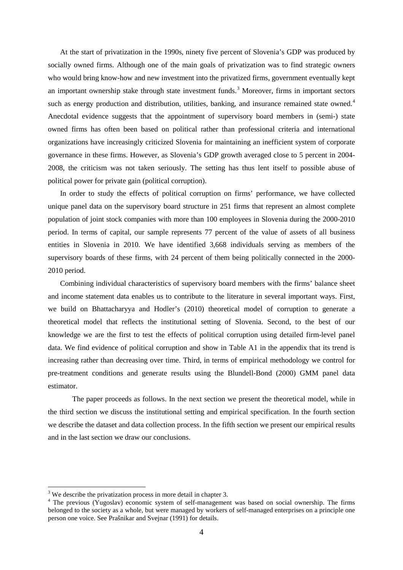At the start of privatization in the 1990s, ninety five percent of Slovenia's GDP was produced by socially owned firms. Although one of the main goals of privatization was to find strategic owners who would bring know-how and new investment into the privatized firms, government eventually kept an important ownership stake through state investment funds. [3](#page-4-0) Moreover, firms in important sectors such as energy production and distribution, utilities, banking, and insurance remained state owned.<sup>[4](#page-5-0)</sup> Anecdotal evidence suggests that the appointment of supervisory board members in (semi-) state owned firms has often been based on political rather than professional criteria and international organizations have increasingly criticized Slovenia for maintaining an inefficient system of corporate governance in these firms. However, as Slovenia's GDP growth averaged close to 5 percent in 2004- 2008, the criticism was not taken seriously. The setting has thus lent itself to possible abuse of political power for private gain (political corruption).

In order to study the effects of political corruption on firms' performance, we have collected unique panel data on the supervisory board structure in 251 firms that represent an almost complete population of joint stock companies with more than 100 employees in Slovenia during the 2000-2010 period. In terms of capital, our sample represents 77 percent of the value of assets of all business entities in Slovenia in 2010. We have identified 3,668 individuals serving as members of the supervisory boards of these firms, with 24 percent of them being politically connected in the 2000- 2010 period.

Combining individual characteristics of supervisory board members with the firms' balance sheet and income statement data enables us to contribute to the literature in several important ways. First, we build on Bhattacharyya and Hodler's (2010) theoretical model of corruption to generate a theoretical model that reflects the institutional setting of Slovenia. Second, to the best of our knowledge we are the first to test the effects of political corruption using detailed firm-level panel data. We find evidence of political corruption and show in Table A1 in the appendix that its trend is increasing rather than decreasing over time. Third, in terms of empirical methodology we control for pre-treatment conditions and generate results using the Blundell-Bond (2000) GMM panel data estimator.

The paper proceeds as follows. In the next section we present the theoretical model, while in the third section we discuss the institutional setting and empirical specification. In the fourth section we describe the dataset and data collection process. In the fifth section we present our empirical results and in the last section we draw our conclusions.

<span id="page-5-1"></span><sup>&</sup>lt;sup>3</sup> We describe the privatization process in more detail in chapter 3.

<span id="page-5-0"></span><sup>&</sup>lt;sup>4</sup> The previous (Yugoslav) economic system of self-management was based on social ownership. The firms belonged to the society as a whole, but were managed by workers of self-managed enterprises on a principle one person one voice. See Prašnikar and Svejnar (1991) for details.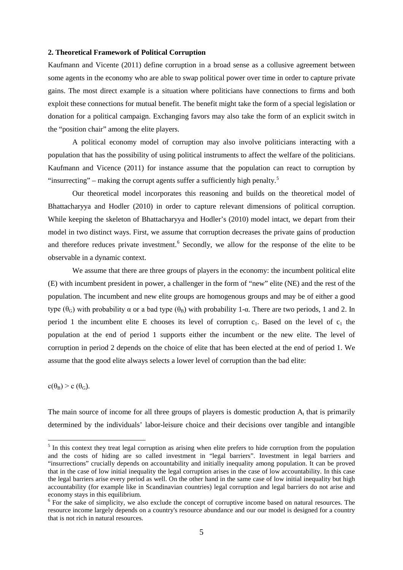#### **2. Theoretical Framework of Political Corruption**

Kaufmann and Vicente (2011) define corruption in a broad sense as a collusive agreement between some agents in the economy who are able to swap political power over time in order to capture private gains. The most direct example is a situation where politicians have connections to firms and both exploit these connections for mutual benefit. The benefit might take the form of a special legislation or donation for a political campaign. Exchanging favors may also take the form of an explicit switch in the "position chair" among the elite players.

A political economy model of corruption may also involve politicians interacting with a population that has the possibility of using political instruments to affect the welfare of the politicians. Kaufmann and Vicence (2011) for instance assume that the population can react to corruption by "insurrecting" – making the corrupt agents suffer a sufficiently high penalty. $5$ 

Our theoretical model incorporates this reasoning and builds on the theoretical model of Bhattacharyya and Hodler (2010) in order to capture relevant dimensions of political corruption. While keeping the skeleton of Bhattacharyya and Hodler's (2010) model intact, we depart from their model in two distinct ways. First, we assume that corruption decreases the private gains of production and therefore reduces private investment.<sup>[6](#page-6-0)</sup> Secondly, we allow for the response of the elite to be observable in a dynamic context.

We assume that there are three groups of players in the economy: the incumbent political elite (E) with incumbent president in power, a challenger in the form of "new" elite (NE) and the rest of the population. The incumbent and new elite groups are homogenous groups and may be of either a good type  $(θ<sub>G</sub>)$  with probability α or a bad type  $(θ<sub>B</sub>)$  with probability 1-α. There are two periods, 1 and 2. In period 1 the incumbent elite E chooses its level of corruption  $c_1$ . Based on the level of  $c_1$  the population at the end of period 1 supports either the incumbent or the new elite. The level of corruption in period 2 depends on the choice of elite that has been elected at the end of period 1. We assume that the good elite always selects a lower level of corruption than the bad elite:

 $c(\theta_B) > c(\theta_G)$ .

The main source of income for all three groups of players is domestic production  $A<sub>i</sub>$ , that is primarily determined by the individuals' labor-leisure choice and their decisions over tangible and intangible

<sup>&</sup>lt;sup>5</sup> In this context they treat legal corruption as arising when elite prefers to hide corruption from the population and the costs of hiding are so called investment in "legal barriers". Investment in legal barriers and "insurrections" crucially depends on accountability and initially inequality among population. It can be proved that in the case of low initial inequality the legal corruption arises in the case of low accountability. In this case the legal barriers arise every period as well. On the other hand in the same case of low initial inequality but high accountability (for example like in Scandinavian countries) legal corruption and legal barriers do not arise and economy stays in this equilibrium.

<span id="page-6-0"></span><sup>&</sup>lt;sup>6</sup> For the sake of simplicity, we also exclude the concept of corruptive income based on natural resources. The resource income largely depends on a country's resource abundance and our our model is designed for a country that is not rich in natural resources.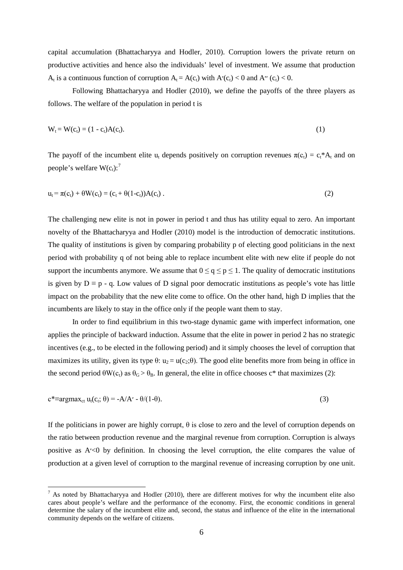capital accumulation (Bhattacharyya and Hodler, 2010). Corruption lowers the private return on productive activities and hence also the individuals' level of investment. We assume that production  $A_t$  is a continuous function of corruption  $A_t = A(c_t)$  with  $A'(c_t) < 0$  and  $A''(c_t) < 0$ .

Following Bhattacharyya and Hodler (2010), we define the payoffs of the three players as follows. The welfare of the population in period t is

$$
W_t = W(c_t) = (1 - c_t)A(c_t).
$$
 (1)

The payoff of the incumbent elite u<sub>t</sub> depends positively on corruption revenues  $\pi(c_t) = c_t^* A_t$  and on people's welfare  $W(c_t)$ :<sup>7</sup>

$$
u_t = \pi(c_t) + \theta W(c_t) = (c_t + \theta(1-c_t))A(c_t).
$$
 (2)

The challenging new elite is not in power in period t and thus has utility equal to zero. An important novelty of the Bhattacharyya and Hodler (2010) model is the introduction of democratic institutions. The quality of institutions is given by comparing probability p of electing good politicians in the next period with probability q of not being able to replace incumbent elite with new elite if people do not support the incumbents anymore. We assume that  $0 \le q \le p \le 1$ . The quality of democratic institutions is given by  $D \equiv p - q$ . Low values of D signal poor democratic institutions as people's vote has little impact on the probability that the new elite come to office. On the other hand, high D implies that the incumbents are likely to stay in the office only if the people want them to stay.

In order to find equilibrium in this two-stage dynamic game with imperfect information, one applies the principle of backward induction. Assume that the elite in power in period 2 has no strategic incentives (e.g., to be elected in the following period) and it simply chooses the level of corruption that maximizes its utility, given its type  $\theta$ : u<sub>2</sub> = u(c<sub>2</sub>; $\theta$ ). The good elite benefits more from being in office in the second period  $\theta W(c_t)$  as  $\theta_G > \theta_B$ . In general, the elite in office chooses c\* that maximizes (2):

<span id="page-7-0"></span>
$$
c^* \equiv \argmax_{ct} u_t(c_t; \theta) = -A/A' - \theta/(1-\theta). \tag{3}
$$

If the politicians in power are highly corrupt,  $\theta$  is close to zero and the level of corruption depends on the ratio between production revenue and the marginal revenue from corruption. Corruption is always positive as  $A \le 0$  by definition. In choosing the level corruption, the elite compares the value of production at a given level of corruption to the marginal revenue of increasing corruption by one unit.

 $<sup>7</sup>$  As noted by Bhattacharyya and Hodler (2010), there are different motives for why the incumbent elite also</sup> cares about people's welfare and the performance of the economy. First, the economic conditions in general determine the salary of the incumbent elite and, second, the status and influence of the elite in the international community depends on the welfare of citizens.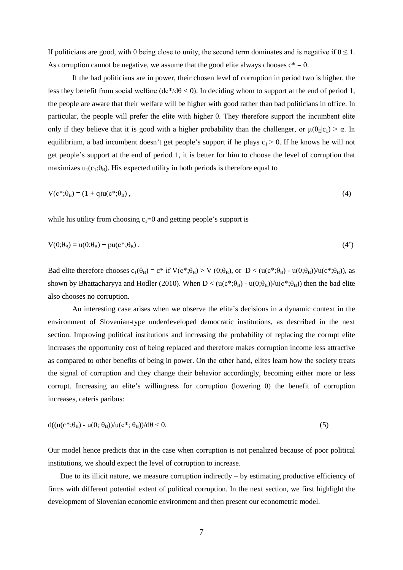If politicians are good, with θ being close to unity, the second term dominates and is negative if  $θ ≤ 1$ . As corruption cannot be negative, we assume that the good elite always chooses  $c^* = 0$ .

If the bad politicians are in power, their chosen level of corruption in period two is higher, the less they benefit from social welfare  $(dc^*/d\theta < 0)$ . In deciding whom to support at the end of period 1, the people are aware that their welfare will be higher with good rather than bad politicians in office. In particular, the people will prefer the elite with higher θ. They therefore support the incumbent elite only if they believe that it is good with a higher probability than the challenger, or  $\mu(\theta_E|c_1) > \alpha$ . In equilibrium, a bad incumbent doesn't get people's support if he plays  $c_1 > 0$ . If he knows he will not get people's support at the end of period 1, it is better for him to choose the level of corruption that maximizes  $u_1(c_1;\theta_B)$ . His expected utility in both periods is therefore equal to

$$
V(c^*; \theta_B) = (1 + q)u(c^*; \theta_B), \qquad (4)
$$

while his utility from choosing  $c_1=0$  and getting people's support is

$$
V(0; \theta_B) = u(0; \theta_B) + pu(c^*; \theta_B). \tag{4'}
$$

Bad elite therefore chooses  $c_1(\theta_B) = c^*$  if  $V(c^*;\theta_B) > V(0;\theta_B)$ , or  $D < (u(c^*;\theta_B) - u(0;\theta_B))/u(c^*;\theta_B)$ , as shown by Bhattacharyya and Hodler (2010). When  $D < (u(c^*, \theta_B) - u(0; \theta_B))/u(c^*, \theta_B)$  then the bad elite also chooses no corruption.

An interesting case arises when we observe the elite's decisions in a dynamic context in the environment of Slovenian-type underdeveloped democratic institutions, as described in the next section. Improving political institutions and increasing the probability of replacing the corrupt elite increases the opportunity cost of being replaced and therefore makes corruption income less attractive as compared to other benefits of being in power. On the other hand, elites learn how the society treats the signal of corruption and they change their behavior accordingly, becoming either more or less corrupt. Increasing an elite's willingness for corruption (lowering θ) the benefit of corruption increases, ceteris paribus:

$$
d((u(c^*;\theta_B) - u(0;\theta_B))/u(c^*;\theta_B))/d\theta < 0. \tag{5}
$$

Our model hence predicts that in the case when corruption is not penalized because of poor political institutions, we should expect the level of corruption to increase.

Due to its illicit nature, we measure corruption indirectly – by estimating productive efficiency of firms with different potential extent of political corruption. In the next section, we first highlight the development of Slovenian economic environment and then present our econometric model.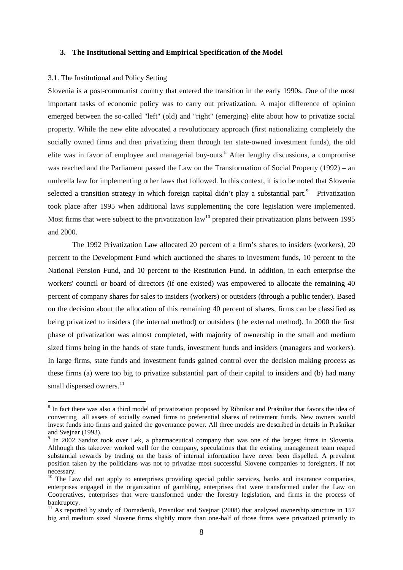#### **3. The Institutional Setting and Empirical Specification of the Model**

#### 3.1. The Institutional and Policy Setting

Slovenia is a post-communist country that entered the transition in the early 1990s. One of the most important tasks of economic policy was to carry out privatization. A major difference of opinion emerged between the so-called "left" (old) and "right" (emerging) elite about how to privatize social property. While the new elite advocated a revolutionary approach (first nationalizing completely the socially owned firms and then privatizing them through ten state-owned investment funds), the old elite was in favor of employee and managerial buy-outs.<sup>[8](#page-7-0)</sup> After lengthy discussions, a compromise was reached and the Parliament passed the Law on the Transformation of Social Property (1992) – an umbrella law for implementing other laws that followed. In this context, it is to be noted that Slovenia selected a transition strategy in which foreign capital didn't play a substantial part.<sup>[9](#page-9-0)</sup> Privatization took place after 1995 when additional laws supplementing the core legislation were implemented. Most firms that were subject to the privatization law<sup>[10](#page-9-1)</sup> prepared their privatization plans between 1995 and 2000.

The 1992 Privatization Law allocated 20 percent of a firm's shares to insiders (workers), 20 percent to the Development Fund which auctioned the shares to investment funds, 10 percent to the National Pension Fund, and 10 percent to the Restitution Fund. In addition, in each enterprise the workers' council or board of directors (if one existed) was empowered to allocate the remaining 40 percent of company shares for sales to insiders (workers) or outsiders (through a public tender). Based on the decision about the allocation of this remaining 40 percent of shares, firms can be classified as being privatized to insiders (the internal method) or outsiders (the external method). In 2000 the first phase of privatization was almost completed, with majority of ownership in the small and medium sized firms being in the hands of state funds, investment funds and insiders (managers and workers). In large firms, state funds and investment funds gained control over the decision making process as these firms (a) were too big to privatize substantial part of their capital to insiders and (b) had many small dispersed owners.<sup>11</sup>

<sup>&</sup>lt;sup>8</sup> In fact there was also a third model of privatization proposed by Ribnikar and Prašnikar that favors the idea of converting all assets of socially owned firms to preferential shares of retirement funds. New owners would invest funds into firms and gained the governance power. All three models are described in details in Prašnikar and Svejnar (1993).

<span id="page-9-0"></span><sup>&</sup>lt;sup>9</sup> In 2002 Sandoz took over Lek, a pharmaceutical company that was one of the largest firms in Slovenia. Although this takeover worked well for the company, speculations that the existing management team reaped substantial rewards by trading on the basis of internal information have never been dispelled. A prevalent position taken by the politicians was not to privatize most successful Slovene companies to foreigners, if not necessary.

<span id="page-9-1"></span><sup>&</sup>lt;sup>10</sup> The Law did not apply to enterprises providing special public services, banks and insurance companies, enterprises engaged in the organization of gambling, enterprises that were transformed under the Law on Cooperatives, enterprises that were transformed under the forestry legislation, and firms in the process of bankruptcy.

<span id="page-9-2"></span> $11$  As reported by study of Domadenik, Prasnikar and Svejnar (2008) that analyzed ownership structure in 157 big and medium sized Slovene firms slightly more than one-half of those firms were privatized primarily to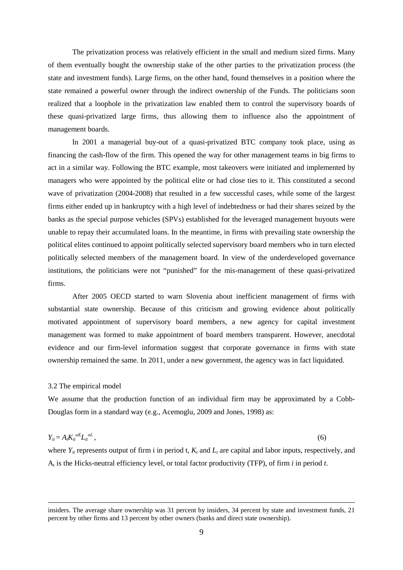The privatization process was relatively efficient in the small and medium sized firms. Many of them eventually bought the ownership stake of the other parties to the privatization process (the state and investment funds). Large firms, on the other hand, found themselves in a position where the state remained a powerful owner through the indirect ownership of the Funds. The politicians soon realized that a loophole in the privatization law enabled them to control the supervisory boards of these quasi-privatized large firms, thus allowing them to influence also the appointment of management boards.

In 2001 a managerial buy-out of a quasi-privatized BTC company took place, using as financing the cash-flow of the firm. This opened the way for other management teams in big firms to act in a similar way. Following the BTC example, most takeovers were initiated and implemented by managers who were appointed by the political elite or had close ties to it. This constituted a second wave of privatization (2004-2008) that resulted in a few successful cases, while some of the largest firms either ended up in bankruptcy with a high level of indebtedness or had their shares seized by the banks as the special purpose vehicles (SPVs) established for the leveraged management buyouts were unable to repay their accumulated loans. In the meantime, in firms with prevailing state ownership the political elites continued to appoint politically selected supervisory board members who in turn elected politically selected members of the management board. In view of the underdeveloped governance institutions, the politicians were not "punished" for the mis-management of these quasi-privatized firms.

After 2005 OECD started to warn Slovenia about inefficient management of firms with substantial state ownership. Because of this criticism and growing evidence about politically motivated appointment of supervisory board members, a new agency for capital investment management was formed to make appointment of board members transparent. However, anecdotal evidence and our firm-level information suggest that corporate governance in firms with state ownership remained the same. In 2011, under a new government, the agency was in fact liquidated.

#### 3.2 The empirical model

 $\overline{a}$ 

We assume that the production function of an individual firm may be approximated by a Cobb-Douglas form in a standard way (e.g., Acemoglu, 2009 and Jones, 1998) as:

$$
Y_{it} = A_t K_{it}^{aK} L_{it}^{aL},\tag{6}
$$

where  $Y_{it}$  represents output of firm i in period t,  $K_t$  and  $L_t$  are capital and labor inputs, respectively, and At is the Hicks-neutral efficiency level, or total factor productivity (TFP), of firm *i* in period *t*.

insiders. The average share ownership was 31 percent by insiders, 34 percent by state and investment funds, 21 percent by other firms and 13 percent by other owners (banks and direct state ownership).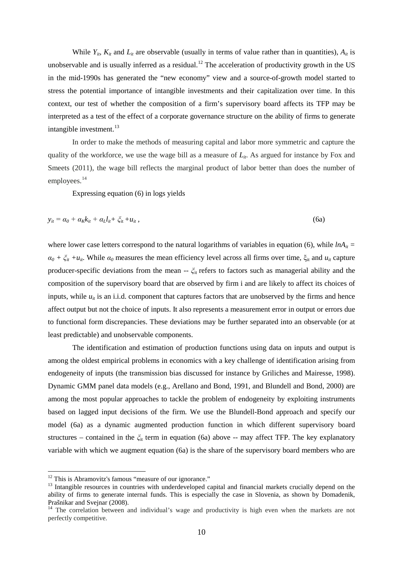While  $Y_{i}$ ,  $K_{i}$  and  $L_{i}$  are observable (usually in terms of value rather than in quantities),  $A_{i}$  is unobservable and is usually inferred as a residual.<sup>[12](#page-9-1)</sup> The acceleration of productivity growth in the US in the mid-1990s has generated the "new economy" view and a source-of-growth model started to stress the potential importance of intangible investments and their capitalization over time. In this context, our test of whether the composition of a firm's supervisory board affects its TFP may be interpreted as a test of the effect of a corporate governance structure on the ability of firms to generate intangible investment. $^{13}$  $^{13}$  $^{13}$ 

In order to make the methods of measuring capital and labor more symmetric and capture the quality of the workforce, we use the wage bill as a measure of  $L_{it}$ . As argued for instance by Fox and Smeets (2011), the wage bill reflects the marginal product of labor better than does the number of employees.<sup>[14](#page-11-1)</sup>

Expressing equation (6) in logs yields

$$
y_{it} = \alpha_0 + \alpha_k k_{it} + \alpha_L l_{it} + \zeta_{it} + u_{it}, \qquad (6a)
$$

where lower case letters correspond to the natural logarithms of variables in equation (6), while  $lnA_{it}$  =  $\alpha_0 + \xi_{it} + u_{it}$ . While  $\alpha_0$  measures the mean efficiency level across all firms over time,  $\xi_{it}$  and  $u_{it}$  capture producer-specific deviations from the mean -- *ξ*it refers to factors such as managerial ability and the composition of the supervisory board that are observed by firm i and are likely to affect its choices of inputs, while  $u_{it}$  is an i.i.d. component that captures factors that are unobserved by the firms and hence affect output but not the choice of inputs. It also represents a measurement error in output or errors due to functional form discrepancies. These deviations may be further separated into an observable (or at least predictable) and unobservable components.

The identification and estimation of production functions using data on inputs and output is among the oldest empirical problems in economics with a key challenge of identification arising from endogeneity of inputs (the transmission bias discussed for instance by Griliches and Mairesse, 1998). Dynamic GMM panel data models (e.g., Arellano and Bond, 1991, and Blundell and Bond, 2000) are among the most popular approaches to tackle the problem of endogeneity by exploiting instruments based on lagged input decisions of the firm. We use the Blundell-Bond approach and specify our model (6a) as a dynamic augmented production function in which different supervisory board structures – contained in the *ξ*it term in equation (6a) above -- may affect TFP. The key explanatory variable with which we augment equation (6a) is the share of the supervisory board members who are

<span id="page-11-2"></span><span id="page-11-0"></span>

 $12$  This is Abramovitz's famous "measure of our ignorance."<br> $13$  Intangible resources in countries with underdeveloped capital and financial markets crucially depend on the ability of firms to generate internal funds. This is especially the case in Slovenia, as shown by Domadenik, Prašnikar and Svejnar (2008).

<span id="page-11-1"></span><sup>&</sup>lt;sup>14</sup> The correlation between and individual's wage and productivity is high even when the markets are not perfectly competitive.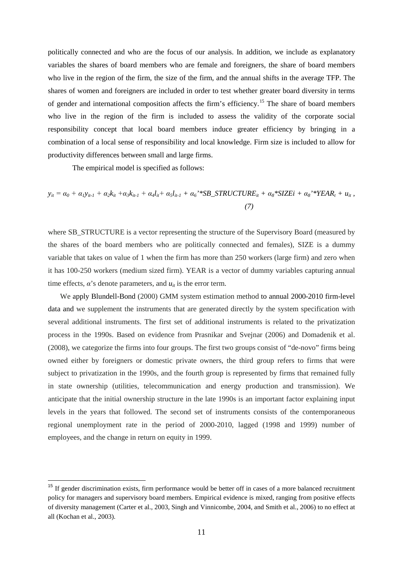politically connected and who are the focus of our analysis. In addition, we include as explanatory variables the shares of board members who are female and foreigners, the share of board members who live in the region of the firm, the size of the firm, and the annual shifts in the average TFP. The shares of women and foreigners are included in order to test whether greater board diversity in terms of gender and international composition affects the firm's efficiency. [15](#page-11-2) The share of board members who live in the region of the firm is included to assess the validity of the corporate social responsibility concept that local board members induce greater efficiency by bringing in a combination of a local sense of responsibility and local knowledge. Firm size is included to allow for productivity differences between small and large firms.

The empirical model is specified as follows:

$$
y_{it} = \alpha_0 + \alpha_1 y_{it-1} + \alpha_2 k_{it} + \alpha_3 k_{it-1} + \alpha_4 l_{it} + \alpha_5 l_{it-1} + \alpha_6 \cdot * SB\_STRUCTURE_{it} + \alpha_8 * SIZEi + \alpha_8 \cdot * YEAR_t + u_{it},
$$
  
(7)

where SB\_STRUCTURE is a vector representing the structure of the Supervisory Board (measured by the shares of the board members who are politically connected and females), SIZE is a dummy variable that takes on value of 1 when the firm has more than 250 workers (large firm) and zero when it has 100-250 workers (medium sized firm). YEAR is a vector of dummy variables capturing annual time effects,  $\alpha$ 's denote parameters, and  $u_{it}$  is the error term.

We apply Blundell-Bond (2000) GMM system estimation method to annual 2000-2010 firm-level data and we supplement the instruments that are generated directly by the system specification with several additional instruments. The first set of additional instruments is related to the privatization process in the 1990s. Based on evidence from Prasnikar and Svejnar (2006) and Domadenik et al. (2008), we categorize the firms into four groups. The first two groups consist of "de-novo" firms being owned either by foreigners or domestic private owners, the third group refers to firms that were subject to privatization in the 1990s, and the fourth group is represented by firms that remained fully in state ownership (utilities, telecommunication and energy production and transmission). We anticipate that the initial ownership structure in the late 1990s is an important factor explaining input levels in the years that followed. The second set of instruments consists of the contemporaneous regional unemployment rate in the period of 2000-2010, lagged (1998 and 1999) number of employees, and the change in return on equity in 1999.

<span id="page-12-0"></span><sup>&</sup>lt;sup>15</sup> If gender discrimination exists, firm performance would be better off in cases of a more balanced recruitment policy for managers and supervisory board members. Empirical evidence is mixed, ranging from positive effects of diversity management (Carter et al., 2003, Singh and Vinnicombe, 2004, and Smith et al., 2006) to no effect at all (Kochan et al., 2003).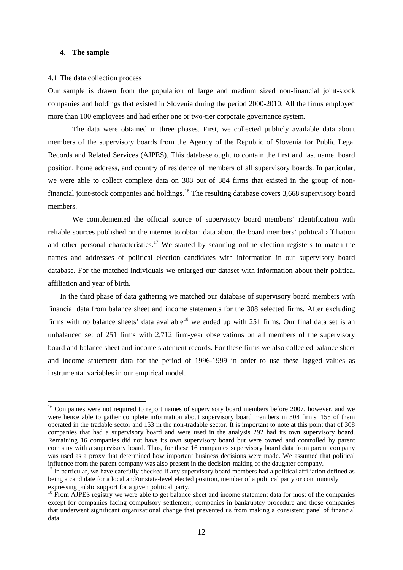#### **4. The sample**

#### 4.1 The data collection process

Our sample is drawn from the population of large and medium sized non-financial joint-stock companies and holdings that existed in Slovenia during the period 2000-2010. All the firms employed more than 100 employees and had either one or two-tier corporate governance system.

The data were obtained in three phases. First, we collected publicly available data about members of the supervisory boards from the Agency of the Republic of Slovenia for Public Legal Records and Related Services (AJPES). This database ought to contain the first and last name, board position, home address, and country of residence of members of all supervisory boards. In particular, we were able to collect complete data on 308 out of 384 firms that existed in the group of non-financial joint-stock companies and holdings.<sup>[16](#page-12-0)</sup> The resulting database covers 3,668 supervisory board members.

We complemented the official source of supervisory board members' identification with reliable sources published on the internet to obtain data about the board members' political affiliation and other personal characteristics.<sup>[17](#page-13-0)</sup> We started by scanning online election registers to match the names and addresses of political election candidates with information in our supervisory board database. For the matched individuals we enlarged our dataset with information about their political affiliation and year of birth.

In the third phase of data gathering we matched our database of supervisory board members with financial data from balance sheet and income statements for the 308 selected firms. After excluding firms with no balance sheets' data available<sup>[18](#page-13-1)</sup> we ended up with 251 firms. Our final data set is an unbalanced set of 251 firms with 2,712 firm-year observations on all members of the supervisory board and balance sheet and income statement records. For these firms we also collected balance sheet and income statement data for the period of 1996-1999 in order to use these lagged values as instrumental variables in our empirical model.

<sup>&</sup>lt;sup>16</sup> Companies were not required to report names of supervisory board members before 2007, however, and we were hence able to gather complete information about supervisory board members in 308 firms. 155 of them operated in the tradable sector and 153 in the non-tradable sector. It is important to note at this point that of 308 companies that had a supervisory board and were used in the analysis 292 had its own supervisory board. Remaining 16 companies did not have its own supervisory board but were owned and controlled by parent company with a supervisory board. Thus, for these 16 companies supervisory board data from parent company was used as a proxy that determined how important business decisions were made. We assumed that political influence from the parent company was also present in the decision-making of the daughter company.<br><sup>17</sup> In particular, we have carefully checked if any supervisory board members had a political affiliation defined as

<span id="page-13-0"></span>being a candidate for a local and/or state-level elected position, member of a political party or continuously expressing public support for a given political party.

<span id="page-13-2"></span><span id="page-13-1"></span> $^{18}$  From AJPES registry we were able to get balance sheet and income statement data for most of the companies except for companies facing compulsory settlement, companies in bankruptcy procedure and those companies that underwent significant organizational change that prevented us from making a consistent panel of financial data.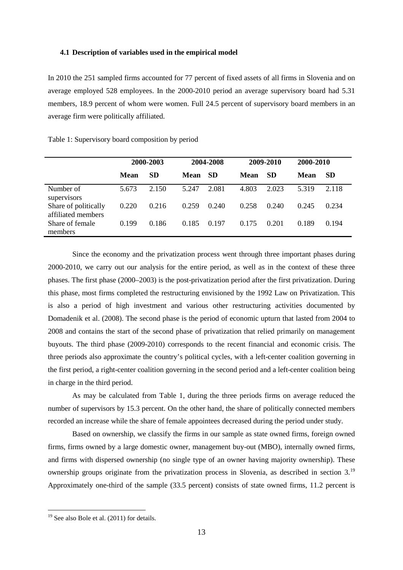#### **4.1 Description of variables used in the empirical model**

In 2010 the 251 sampled firms accounted for 77 percent of fixed assets of all firms in Slovenia and on average employed 528 employees. In the 2000-2010 period an average supervisory board had 5.31 members, 18.9 percent of whom were women. Full 24.5 percent of supervisory board members in an average firm were politically affiliated.

|                                            |       | 2000-2003 |       | 2004-2008 |             | 2009-2010 | 2000-2010   |           |
|--------------------------------------------|-------|-----------|-------|-----------|-------------|-----------|-------------|-----------|
|                                            | Mean  | <b>SD</b> | Mean  | <b>SD</b> | <b>Mean</b> | <b>SD</b> | <b>Mean</b> | <b>SD</b> |
| Number of<br>supervisors                   | 5.673 | 2.150     | 5.247 | 2.081     | 4.803       | 2.023     | 5.319       | 2.118     |
| Share of politically<br>affiliated members | 0.220 | 0.216     | 0.259 | 0.240     | 0.258       | 0.240     | 0.245       | 0.234     |
| Share of female<br>members                 | 0.199 | 0.186     | 0.185 | 0.197     | 0.175       | 0.201     | 0.189       | 0.194     |

Table 1: Supervisory board composition by period

Since the economy and the privatization process went through three important phases during 2000-2010, we carry out our analysis for the entire period, as well as in the context of these three phases. The first phase (2000–2003) is the post-privatization period after the first privatization. During this phase, most firms completed the restructuring envisioned by the 1992 Law on Privatization. This is also a period of high investment and various other restructuring activities documented by Domadenik et al. (2008). The second phase is the period of economic upturn that lasted from 2004 to 2008 and contains the start of the second phase of privatization that relied primarily on management buyouts. The third phase (2009-2010) corresponds to the recent financial and economic crisis. The three periods also approximate the country's political cycles, with a left-center coalition governing in the first period, a right-center coalition governing in the second period and a left-center coalition being in charge in the third period.

As may be calculated from Table 1, during the three periods firms on average reduced the number of supervisors by 15.3 percent. On the other hand, the share of politically connected members recorded an increase while the share of female appointees decreased during the period under study.

Based on ownership, we classify the firms in our sample as state owned firms, foreign owned firms, firms owned by a large domestic owner, management buy-out (MBO), internally owned firms, and firms with dispersed ownership (no single type of an owner having majority ownership). These ownership groups originate from the privatization process in Slovenia, as described in section 3.<sup>[19](#page-13-2)</sup> Approximately one-third of the sample (33.5 percent) consists of state owned firms, 11.2 percent is

<span id="page-14-0"></span><sup>&</sup>lt;sup>19</sup> See also Bole et al. (2011) for details.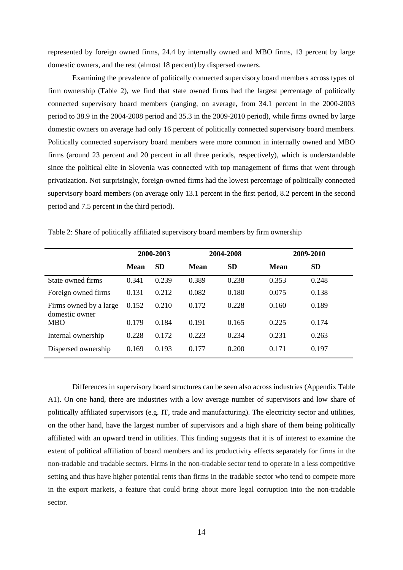represented by foreign owned firms, 24.4 by internally owned and MBO firms, 13 percent by large domestic owners, and the rest (almost 18 percent) by dispersed owners.

Examining the prevalence of politically connected supervisory board members across types of firm ownership (Table 2), we find that state owned firms had the largest percentage of politically connected supervisory board members (ranging, on average, from 34.1 percent in the 2000-2003 period to 38.9 in the 2004-2008 period and 35.3 in the 2009-2010 period), while firms owned by large domestic owners on average had only 16 percent of politically connected supervisory board members. Politically connected supervisory board members were more common in internally owned and MBO firms (around 23 percent and 20 percent in all three periods, respectively), which is understandable since the political elite in Slovenia was connected with top management of firms that went through privatization. Not surprisingly, foreign-owned firms had the lowest percentage of politically connected supervisory board members (on average only 13.1 percent in the first period, 8.2 percent in the second period and 7.5 percent in the third period).

|                                          |       | 2000-2003 |       | 2004-2008 |       | 2009-2010 |
|------------------------------------------|-------|-----------|-------|-----------|-------|-----------|
|                                          | Mean  | <b>SD</b> | Mean  | <b>SD</b> | Mean  | <b>SD</b> |
| State owned firms                        | 0.341 | 0.239     | 0.389 | 0.238     | 0.353 | 0.248     |
| Foreign owned firms                      | 0.131 | 0.212     | 0.082 | 0.180     | 0.075 | 0.138     |
| Firms owned by a large<br>domestic owner | 0.152 | 0.210     | 0.172 | 0.228     | 0.160 | 0.189     |
| <b>MBO</b>                               | 0.179 | 0.184     | 0.191 | 0.165     | 0.225 | 0.174     |
| Internal ownership                       | 0.228 | 0.172     | 0.223 | 0.234     | 0.231 | 0.263     |
| Dispersed ownership                      | 0.169 | 0.193     | 0.177 | 0.200     | 0.171 | 0.197     |

Table 2: Share of politically affiliated supervisory board members by firm ownership

Differences in supervisory board structures can be seen also across industries (Appendix Table A1). On one hand, there are industries with a low average number of supervisors and low share of politically affiliated supervisors (e.g. IT, trade and manufacturing). The electricity sector and utilities, on the other hand, have the largest number of supervisors and a high share of them being politically affiliated with an upward trend in utilities. This finding suggests that it is of interest to examine the extent of political affiliation of board members and its productivity effects separately for firms in the non-tradable and tradable sectors. Firms in the non-tradable sector tend to operate in a less competitive setting and thus have higher potential rents than firms in the tradable sector who tend to compete more in the export markets, a feature that could bring about more legal corruption into the non-tradable sector.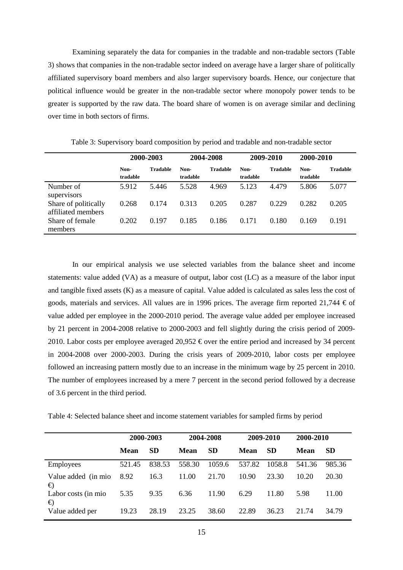Examining separately the data for companies in the tradable and non-tradable sectors (Table 3) shows that companies in the non-tradable sector indeed on average have a larger share of politically affiliated supervisory board members and also larger supervisory boards. Hence, our conjecture that political influence would be greater in the non-tradable sector where monopoly power tends to be greater is supported by the raw data. The board share of women is on average similar and declining over time in both sectors of firms.

|                                            |                  | 2000-2003       |                  | 2004-2008       |                  | 2009-2010       | 2000-2010        |                 |
|--------------------------------------------|------------------|-----------------|------------------|-----------------|------------------|-----------------|------------------|-----------------|
|                                            | Non-<br>tradable | <b>Tradable</b> | Non-<br>tradable | <b>Tradable</b> | Non-<br>tradable | <b>Tradable</b> | Non-<br>tradable | <b>Tradable</b> |
| Number of<br>supervisors                   | 5.912            | 5.446           | 5.528            | 4.969           | 5.123            | 4.479           | 5.806            | 5.077           |
| Share of politically<br>affiliated members | 0.268            | 0.174           | 0.313            | 0.205           | 0.287            | 0.229           | 0.282            | 0.205           |
| Share of female<br>members                 | 0.202            | 0.197           | 0.185            | 0.186           | 0.171            | 0.180           | 0.169            | 0.191           |

Table 3: Supervisory board composition by period and tradable and non-tradable sector

In our empirical analysis we use selected variables from the balance sheet and income statements: value added (VA) as a measure of output, labor cost (LC) as a measure of the labor input and tangible fixed assets (K) as a measure of capital. Value added is calculated as sales less the cost of goods, materials and services. All values are in 1996 prices. The average firm reported 21,744  $\epsilon$  of value added per employee in the 2000-2010 period. The average value added per employee increased by 21 percent in 2004-2008 relative to 2000-2003 and fell slightly during the crisis period of 2009- 2010. Labor costs per employee averaged 20,952  $\epsilon$  over the entire period and increased by 34 percent in 2004-2008 over 2000-2003. During the crisis years of 2009-2010, labor costs per employee followed an increasing pattern mostly due to an increase in the minimum wage by 25 percent in 2010. The number of employees increased by a mere 7 percent in the second period followed by a decrease of 3.6 percent in the third period.

Table 4: Selected balance sheet and income statement variables for sampled firms by period

|                           |        | 2000-2003 |             | 2004-2008 |        | 2009-2010 | 2000-2010 |           |
|---------------------------|--------|-----------|-------------|-----------|--------|-----------|-----------|-----------|
|                           | Mean   | <b>SD</b> | <b>Mean</b> | <b>SD</b> | Mean   | <b>SD</b> | Mean      | <b>SD</b> |
| <b>Employees</b>          | 521.45 | 838.53    | 558.30      | 1059.6    | 537.82 | 1058.8    | 541.36    | 985.36    |
| Value added (in mio)<br>€ | 8.92   | 16.3      | 11.00       | 21.70     | 10.90  | 23.30     | 10.20     | 20.30     |
| Labor costs (in mio.<br>€ | 5.35   | 9.35      | 6.36        | 11.90     | 6.29   | 11.80     | 5.98      | 11.00     |
| Value added per           | 19.23  | 28.19     | 23.25       | 38.60     | 22.89  | 36.23     | 21.74     | 34.79     |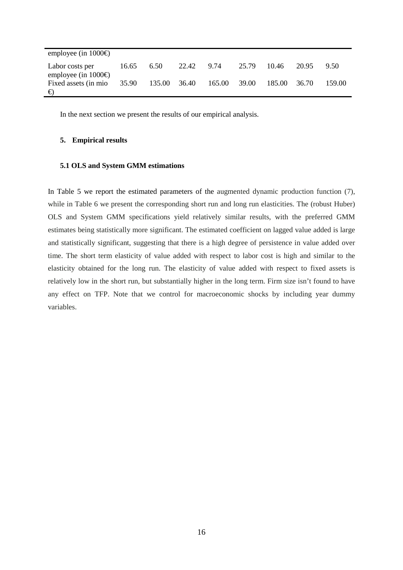| employee (in $1000 \oplus$                    |       |        |            |              |       |         |       |        |
|-----------------------------------------------|-------|--------|------------|--------------|-------|---------|-------|--------|
| Labor costs per<br>employee (in $1000 \oplus$ | 16.65 | 6.50   | 22.42 9.74 |              | 25.79 | - 10.46 | 20.95 | 9.50   |
| Fixed assets (in mio 35.90<br>€               |       | 135.00 | 36.40      | 165.00 39.00 |       | 185.00  | 36.70 | 159.00 |

In the next section we present the results of our empirical analysis.

#### **5. Empirical results**

#### **5.1 OLS and System GMM estimations**

In Table 5 we report the estimated parameters of the augmented dynamic production function (7), while in Table 6 we present the corresponding short run and long run elasticities. The (robust Huber) OLS and System GMM specifications yield relatively similar results, with the preferred GMM estimates being statistically more significant. The estimated coefficient on lagged value added is large and statistically significant, suggesting that there is a high degree of persistence in value added over time. The short term elasticity of value added with respect to labor cost is high and similar to the elasticity obtained for the long run. The elasticity of value added with respect to fixed assets is relatively low in the short run, but substantially higher in the long term. Firm size isn't found to have any effect on TFP. Note that we control for macroeconomic shocks by including year dummy variables.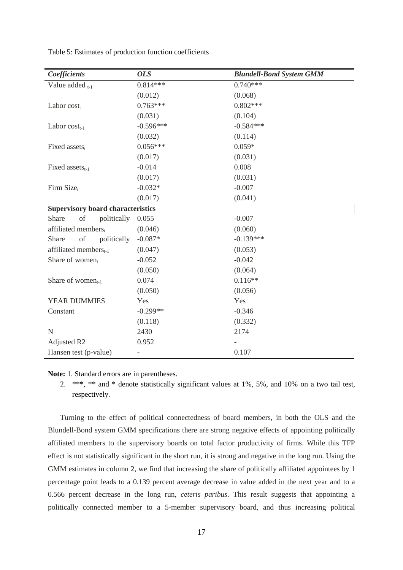| Coefficients                             | <b>OLS</b>               | <b>Blundell-Bond System GMM</b> |
|------------------------------------------|--------------------------|---------------------------------|
| Value added $_{t-1}$                     | $0.814***$               | $0.740***$                      |
|                                          | (0.012)                  | (0.068)                         |
| Labor $cost_t$                           | $0.763***$               | $0.802***$                      |
|                                          | (0.031)                  | (0.104)                         |
| Labor $cost_{t-1}$                       | $-0.596***$              | $-0.584***$                     |
|                                          | (0.032)                  | (0.114)                         |
| Fixed assets <sub>t</sub>                | $0.056***$               | $0.059*$                        |
|                                          | (0.017)                  | (0.031)                         |
| Fixed assets $_{t-1}$                    | $-0.014$                 | 0.008                           |
|                                          | (0.017)                  | (0.031)                         |
| Firm Size <sub>t</sub>                   | $-0.032*$                | $-0.007$                        |
|                                          | (0.017)                  | (0.041)                         |
| <b>Supervisory board characteristics</b> |                          |                                 |
| of<br>Share<br>politically               | 0.055                    | $-0.007$                        |
| affiliated members,                      | (0.046)                  | (0.060)                         |
| of<br>politically<br>Share               | $-0.087*$                | $-0.139***$                     |
| affiliated members <sub>t-1</sub>        | (0.047)                  | (0.053)                         |
| Share of women $_{t}$                    | $-0.052$                 | $-0.042$                        |
|                                          | (0.050)                  | (0.064)                         |
| Share of women <sub>t-1</sub>            | 0.074                    | $0.116**$                       |
|                                          | (0.050)                  | (0.056)                         |
| YEAR DUMMIES                             | Yes                      | Yes                             |
| Constant                                 | $-0.299**$               | $-0.346$                        |
|                                          | (0.118)                  | (0.332)                         |
| $\mathbf N$                              | 2430                     | 2174                            |
| Adjusted R2                              | 0.952                    |                                 |
| Hansen test (p-value)                    | $\overline{\phantom{0}}$ | 0.107                           |

Table 5: Estimates of production function coefficients

**Note:** 1. Standard errors are in parentheses.

2. \*\*\*, \*\* and \* denote statistically significant values at 1%, 5%, and 10% on a two tail test, respectively.

Turning to the effect of political connectedness of board members, in both the OLS and the Blundell-Bond system GMM specifications there are strong negative effects of appointing politically affiliated members to the supervisory boards on total factor productivity of firms. While this TFP effect is not statistically significant in the short run, it is strong and negative in the long run. Using the GMM estimates in column 2, we find that increasing the share of politically affiliated appointees by 1 percentage point leads to a 0.139 percent average decrease in value added in the next year and to a 0.566 percent decrease in the long run, *ceteris paribus*. This result suggests that appointing a politically connected member to a 5-member supervisory board, and thus increasing political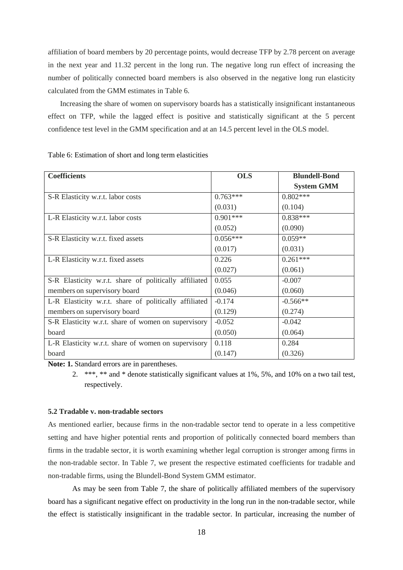affiliation of board members by 20 percentage points, would decrease TFP by 2.78 percent on average in the next year and 11.32 percent in the long run. The negative long run effect of increasing the number of politically connected board members is also observed in the negative long run elasticity calculated from the GMM estimates in Table 6.

Increasing the share of women on supervisory boards has a statistically insignificant instantaneous effect on TFP, while the lagged effect is positive and statistically significant at the 5 percent confidence test level in the GMM specification and at an 14.5 percent level in the OLS model.

| <b>Coefficients</b>                                   | <b>OLS</b> | <b>Blundell-Bond</b> |
|-------------------------------------------------------|------------|----------------------|
|                                                       |            | <b>System GMM</b>    |
| S-R Elasticity w.r.t. labor costs                     | $0.763***$ | $0.802***$           |
|                                                       | (0.031)    | (0.104)              |
| L-R Elasticity w.r.t. labor costs                     | $0.901***$ | $0.838***$           |
|                                                       | (0.052)    | (0.090)              |
| S-R Elasticity w.r.t. fixed assets                    | $0.056***$ | $0.059**$            |
|                                                       | (0.017)    | (0.031)              |
| L-R Elasticity w.r.t. fixed assets                    | 0.226      | $0.261***$           |
|                                                       | (0.027)    | (0.061)              |
| S-R Elasticity w.r.t. share of politically affiliated | 0.055      | $-0.007$             |
| members on supervisory board                          | (0.046)    | (0.060)              |
| L-R Elasticity w.r.t. share of politically affiliated | $-0.174$   | $-0.566**$           |
| members on supervisory board                          | (0.129)    | (0.274)              |
| S-R Elasticity w.r.t. share of women on supervisory   | $-0.052$   | $-0.042$             |
| board                                                 | (0.050)    | (0.064)              |
| L-R Elasticity w.r.t. share of women on supervisory   | 0.118      | 0.284                |
| board                                                 | (0.147)    | (0.326)              |

Table 6: Estimation of short and long term elasticities

**Note: 1.** Standard errors are in parentheses.

2. \*\*\*, \*\* and \* denote statistically significant values at 1%, 5%, and 10% on a two tail test, respectively.

#### **5.2 Tradable v. non-tradable sectors**

As mentioned earlier, because firms in the non-tradable sector tend to operate in a less competitive setting and have higher potential rents and proportion of politically connected board members than firms in the tradable sector, it is worth examining whether legal corruption is stronger among firms in the non-tradable sector. In Table 7, we present the respective estimated coefficients for tradable and non-tradable firms, using the Blundell-Bond System GMM estimator.

As may be seen from Table 7, the share of politically affiliated members of the supervisory board has a significant negative effect on productivity in the long run in the non-tradable sector, while the effect is statistically insignificant in the tradable sector. In particular, increasing the number of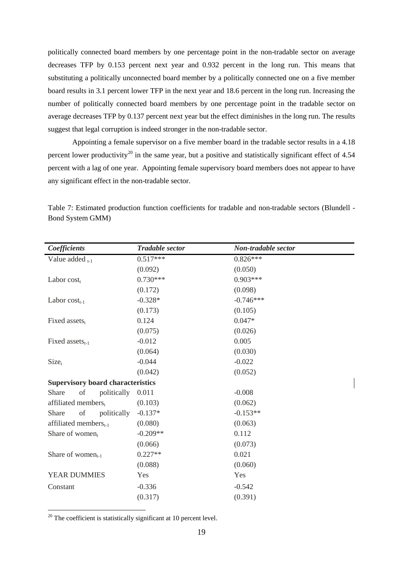politically connected board members by one percentage point in the non-tradable sector on average decreases TFP by 0.153 percent next year and 0.932 percent in the long run. This means that substituting a politically unconnected board member by a politically connected one on a five member board results in 3.1 percent lower TFP in the next year and 18.6 percent in the long run. Increasing the number of politically connected board members by one percentage point in the tradable sector on average decreases TFP by 0.137 percent next year but the effect diminishes in the long run. The results suggest that legal corruption is indeed stronger in the non-tradable sector.

Appointing a female supervisor on a five member board in the tradable sector results in a 4.18 percent lower productivity<sup>[20](#page-14-0)</sup> in the same year, but a positive and statistically significant effect of  $4.54$ percent with a lag of one year. Appointing female supervisory board members does not appear to have any significant effect in the non-tradable sector.

| Coefficients                             | <b>Tradable sector</b> | Non-tradable sector |
|------------------------------------------|------------------------|---------------------|
| Value added $_{t-1}$                     | $0.517***$             | $0.826***$          |
|                                          | (0.092)                | (0.050)             |
| Labor $cost_t$                           | $0.730***$             | $0.903***$          |
|                                          | (0.172)                | (0.098)             |
| Labor $cost_{t-1}$                       | $-0.328*$              | $-0.746***$         |
|                                          | (0.173)                | (0.105)             |
| Fixed assets <sub>t</sub>                | 0.124                  | $0.047*$            |
|                                          | (0.075)                | (0.026)             |
| Fixed assets $_{t-1}$                    | $-0.012$               | 0.005               |
|                                          | (0.064)                | (0.030)             |
| $Size_t$                                 | $-0.044$               | $-0.022$            |
|                                          | (0.042)                | (0.052)             |
| <b>Supervisory board characteristics</b> |                        |                     |
| politically<br>Share<br>of               | 0.011                  | $-0.008$            |
| affiliated members,                      | (0.103)                | (0.062)             |
| of<br>politically<br>Share               | $-0.137*$              | $-0.153**$          |
| affiliated members <sub>t-1</sub>        | (0.080)                | (0.063)             |
| Share of women $_{t}$                    | $-0.209**$             | 0.112               |
|                                          | (0.066)                | (0.073)             |
| Share of women <sub>t-1</sub>            | $0.227**$              | 0.021               |
|                                          | (0.088)                | (0.060)             |
| YEAR DUMMIES                             | Yes                    | Yes                 |
| Constant                                 | $-0.336$               | $-0.542$            |
|                                          | (0.317)                | (0.391)             |
|                                          |                        |                     |

Table 7: Estimated production function coefficients for tradable and non-tradable sectors (Blundell - Bond System GMM)

<span id="page-20-0"></span> $20$  The coefficient is statistically significant at 10 percent level.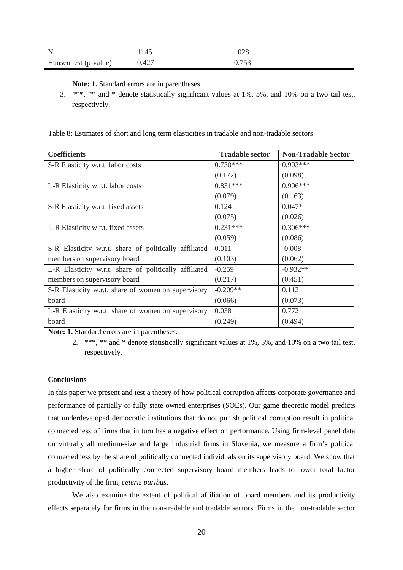| $\mathbf N$           | 1145  | 1028  |
|-----------------------|-------|-------|
| Hansen test (p-value) | 0.427 | 0.753 |

**Note: 1.** Standard errors are in parentheses.

3. \*\*\*, \*\* and \* denote statistically significant values at 1%, 5%, and 10% on a two tail test, respectively.

Table 8: Estimates of short and long term elasticities in tradable and non-tradable sectors

| <b>Coefficients</b>                                   | <b>Tradable sector</b> | <b>Non-Tradable Sector</b> |
|-------------------------------------------------------|------------------------|----------------------------|
| S-R Elasticity w.r.t. labor costs                     | $0.730***$             | $0.903***$                 |
|                                                       | (0.172)                | (0.098)                    |
| L-R Elasticity w.r.t. labor costs                     | $0.831***$             | $0.906***$                 |
|                                                       | (0.079)                | (0.163)                    |
| S-R Elasticity w.r.t. fixed assets                    | 0.124                  | $0.047*$                   |
|                                                       | (0.075)                | (0.026)                    |
| L-R Elasticity w.r.t. fixed assets                    | $0.231***$             | $0.306***$                 |
|                                                       | (0.059)                | (0.086)                    |
| S-R Elasticity w.r.t. share of politically affiliated | 0.011                  | $-0.008$                   |
| members on supervisory board                          | (0.103)                | (0.062)                    |
| L-R Elasticity w.r.t. share of politically affiliated | $-0.259$               | $-0.932**$                 |
| members on supervisory board                          | (0.217)                | (0.451)                    |
| S-R Elasticity w.r.t. share of women on supervisory   | $-0.209**$             | 0.112                      |
| board                                                 | (0.066)                | (0.073)                    |
| L-R Elasticity w.r.t. share of women on supervisory   | 0.038                  | 0.772                      |
| board                                                 | (0.249)                | (0.494)                    |

**Note: 1.** Standard errors are in parentheses.

#### **Conclusions**

In this paper we present and test a theory of how political corruption affects corporate governance and performance of partially or fully state owned enterprises (SOEs). Our game theoretic model predicts that underdeveloped democratic institutions that do not punish political corruption result in political connectedness of firms that in turn has a negative effect on performance. Using firm-level panel data on virtually all medium-size and large industrial firms in Slovenia, we measure a firm's political connectedness by the share of politically connected individuals on its supervisory board. We show that a higher share of politically connected supervisory board members leads to lower total factor productivity of the firm, *ceteris paribus*.

We also examine the extent of political affiliation of board members and its productivity effects separately for firms in the non-tradable and tradable sectors. Firms in the non-tradable sector

<sup>2.</sup> \*\*\*, \*\* and \* denote statistically significant values at 1%, 5%, and 10% on a two tail test, respectively.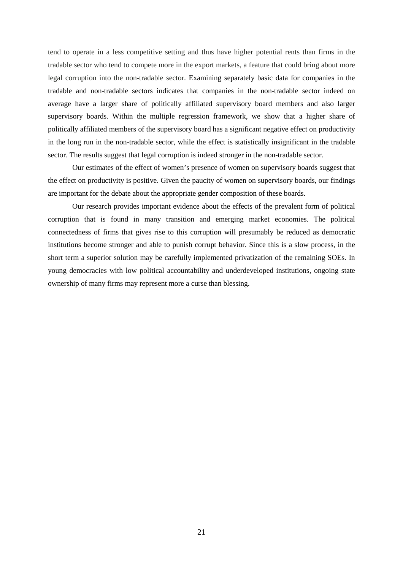tend to operate in a less competitive setting and thus have higher potential rents than firms in the tradable sector who tend to compete more in the export markets, a feature that could bring about more legal corruption into the non-tradable sector. Examining separately basic data for companies in the tradable and non-tradable sectors indicates that companies in the non-tradable sector indeed on average have a larger share of politically affiliated supervisory board members and also larger supervisory boards. Within the multiple regression framework, we show that a higher share of politically affiliated members of the supervisory board has a significant negative effect on productivity in the long run in the non-tradable sector, while the effect is statistically insignificant in the tradable sector. The results suggest that legal corruption is indeed stronger in the non-tradable sector.

Our estimates of the effect of women's presence of women on supervisory boards suggest that the effect on productivity is positive. Given the paucity of women on supervisory boards, our findings are important for the debate about the appropriate gender composition of these boards.

Our research provides important evidence about the effects of the prevalent form of political corruption that is found in many transition and emerging market economies. The political connectedness of firms that gives rise to this corruption will presumably be reduced as democratic institutions become stronger and able to punish corrupt behavior. Since this is a slow process, in the short term a superior solution may be carefully implemented privatization of the remaining SOEs. In young democracies with low political accountability and underdeveloped institutions, ongoing state ownership of many firms may represent more a curse than blessing.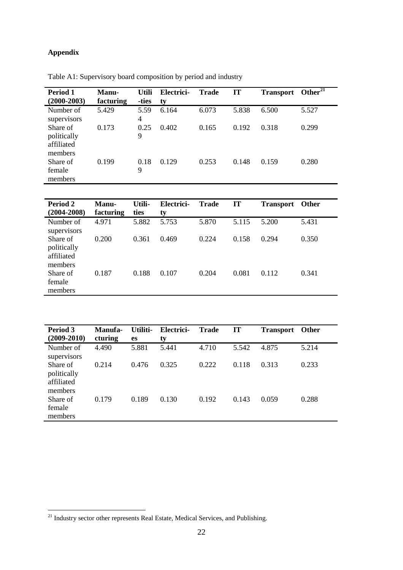## **Appendix**

| Period 1<br>$(2000 - 2003)$                      | Manu-<br>facturing | <b>Utili</b><br>-ties | Electrici-<br>ty | <b>Trade</b> | IT    | <b>Transport</b> | Other $\overline{^{21}}$ |
|--------------------------------------------------|--------------------|-----------------------|------------------|--------------|-------|------------------|--------------------------|
| Number of<br>supervisors                         | 5.429              | 5.59<br>4             | 6.164            | 6.073        | 5.838 | 6.500            | 5.527                    |
| Share of<br>politically<br>affiliated<br>members | 0.173              | 0.25<br>9             | 0.402            | 0.165        | 0.192 | 0.318            | 0.299                    |
| Share of<br>female<br>members                    | 0.199              | 0.18<br>9             | 0.129            | 0.253        | 0.148 | 0.159            | 0.280                    |

Table A1: Supervisory board composition by period and industry

| <b>Period 2</b><br>$(2004 - 2008)$               | Manu-<br>facturing | Utili-<br>ties | Electrici-<br>ty | <b>Trade</b> | <b>IT</b> | <b>Transport</b> | <b>Other</b> |
|--------------------------------------------------|--------------------|----------------|------------------|--------------|-----------|------------------|--------------|
| Number of<br>supervisors                         | 4.971              | 5.882          | 5.753            | 5.870        | 5.115     | 5.200            | 5.431        |
| Share of<br>politically<br>affiliated<br>members | 0.200              | 0.361          | 0.469            | 0.224        | 0.158     | 0.294            | 0.350        |
| Share of<br>female<br>members                    | 0.187              | 0.188          | 0.107            | 0.204        | 0.081     | 0.112            | 0.341        |

| Period 3<br>$(2009 - 2010)$                      | Manufa-<br>cturing | Utiliti-<br>es | Electrici-<br>ty | <b>Trade</b> | <b>IT</b> | <b>Transport</b> | Other |
|--------------------------------------------------|--------------------|----------------|------------------|--------------|-----------|------------------|-------|
| Number of<br>supervisors                         | 4.490              | 5.881          | 5.441            | 4.710        | 5.542     | 4.875            | 5.214 |
| Share of<br>politically<br>affiliated<br>members | 0.214              | 0.476          | 0.325            | 0.222        | 0.118     | 0.313            | 0.233 |
| Share of<br>female<br>members                    | 0.179              | 0.189          | 0.130            | 0.192        | 0.143     | 0.059            | 0.288 |

<sup>&</sup>lt;sup>21</sup> Industry sector other represents Real Estate, Medical Services, and Publishing.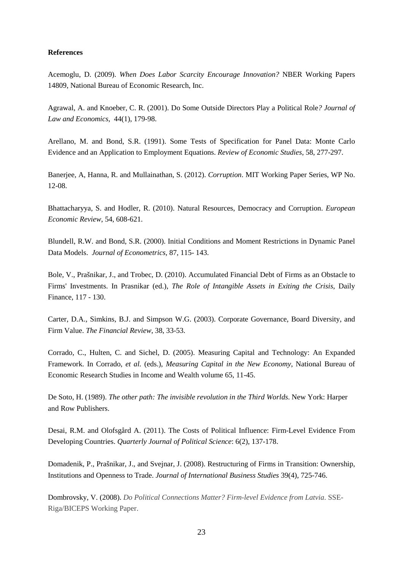#### **References**

Acemoglu, D. (2009). *[When Does Labor Scarcity](http://ideas.repec.org/p/nbr/nberwo/14809.html) Encourage Innovation?* [NBER Working Papers](http://ideas.repec.org/s/nbr/nberwo.html) 14809, National Bureau of Economic Research, Inc.

Agrawal, A. and Knoeber, C. R. (2001). Do Some Outside Directors Play a Political Role*? Journal of Law and Economics*, 44(1), 179-98.

Arellano, M. and Bond, S.R. (1991). Some Tests of Specification for Panel Data: Monte Carlo Evidence and an Application to Employment Equations. *Review of Economic Studies*, 58, 277-297.

Banerjee, A, Hanna, R. and Mullainathan, S. (2012). *Corruption*. MIT Working Paper Series, WP No. 12-08.

Bhattacharyya, S. and Hodler, R. (2010). Natural Resources, Democracy and Corruption. *European Economic Review*, 54, 608-621.

Blundell, R.W. and Bond, S.R. (2000). Initial Conditions and Moment Restrictions in Dynamic Panel Data Models. *Journal of Econometrics,* 87, 115- 143.

Bole, V., Prašnikar, J., and Trobec, D. (2010). Accumulated Financial Debt of Firms as an Obstacle to Firms' Investments. In Prasnikar (ed.), *The Role of Intangible Assets in Exiting the Crisis*, Daily Finance, 117 - 130.

Carter, D.A., Simkins, B.J. and Simpson W.G. (2003). Corporate Governance, Board Diversity, and Firm Value. *The Financial Review*, 38, 33-53.

Corrado, C., Hulten, C. and Sichel, D. (2005). Measuring Capital and Technology: An Expanded Framework. In Corrado, *et al.* (eds.), *Measuring Capital in the New Economy*, National Bureau of Economic Research Studies in Income and Wealth volume 65, 11-45.

De Soto, H. (1989). *The other path: The invisible revolution in the Third Worlds*. New York: Harper and Row Publishers.

Desai, R.M. and Olofsgård A. (2011). The Costs of Political Influence: Firm-Level Evidence From Developing Countries. *Quarterly Journal of Political Science*: 6(2), 137-178.

Domadenik, P., Prašnikar, J., and Svejnar, J. (2008). Restructuring of Firms in Transition: Ownership, Institutions and Openness to Trade. *Journal of International Business Studies* 39(4), 725-746.

Dombrovsky, V. (2008). *Do Political Connections Matter? Firm-level Evidence from Latvia*. SSE-Riga/BICEPS Working Paper.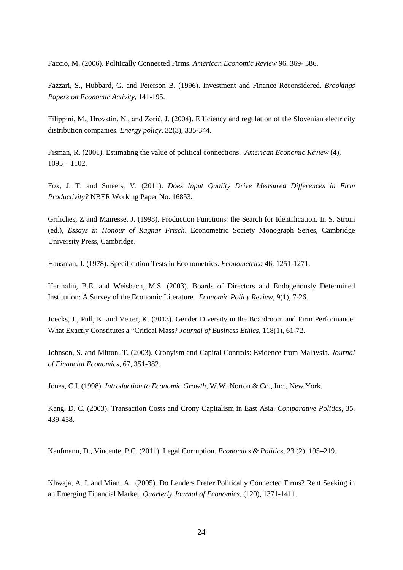Faccio, M. (2006). Politically Connected Firms. *American Economic Review* 96, 369- 386.

Fazzari, S., Hubbard, G. and Peterson B. (1996). Investment and Finance Reconsidered. *Brookings Papers on Economic Activity*, 141-195.

Filippini, M., Hrovatin, N., and Zorić, J. (2004). Efficiency and regulation of the Slovenian electricity distribution companies. *Energy policy,* 32(3), 335-344.

Fisman, R. (2001). [Estimating the value of political connections.](http://www.jstor.org/stable/10.2307/2677829) *American Economic Review* (4), 1095 – 1102.

Fox, J. T. and Smeets, V. (2011). *Does Input Quality Drive Measured Differences in Firm Productivity?* NBER Working Paper No. 16853.

Griliches, Z and Mairesse, J. (1998). Production Functions: the Search for Identification. In S. Strom (ed.), *Essays in Honour of Ragnar Frisch*. Econometric Society Monograph Series, Cambridge University Press, Cambridge.

Hausman, J. (1978). Specification Tests in Econometrics. *Econometrica* 46: 1251-1271.

Hermalin, B.E. and Weisbach, M.S. (2003). Boards of Directors and Endogenously Determined Institution: A Survey of the Economic Literature. *Economic Policy Review*, 9(1), 7-26.

Joecks, J., Pull, K. and Vetter, K. (2013). Gender Diversity in the Boardroom and Firm Performance: What Exactly Constitutes a "Critical Mass? *Journal of Business Ethics*, 118(1), 61-72.

Johnson, S. and Mitton, T. (2003). Cronyism and Capital Controls: Evidence from Malaysia. *Journal of Financial Economics*, 67, 351-382.

Jones, C.I. (1998). *Introduction to Economic Growth*, W.W. Norton & Co., Inc., New York.

Kang, D. C. (2003). Transaction Costs and Crony Capitalism in East Asia. *Comparative Politics*, 35, 439-458.

Kaufmann, D., Vincente, P.C. (2011). Legal Corruption. *Economics & Politics,* 23 (2), 195–219.

Khwaja, A. I. and Mian, A. (2005). Do Lenders Prefer Politically Connected Firms? Rent Seeking in an Emerging Financial Market. *Quarterly Journal of Economics*, (120), 1371-1411.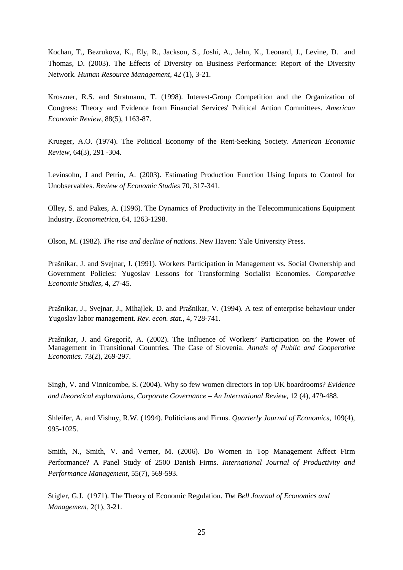Kochan, T., Bezrukova, K., Ely, R., Jackson, S., Joshi, A., Jehn, K., Leonard, J., Levine, D. and Thomas, D. (2003). The Effects of Diversity on Business Performance: Report of the Diversity Network. *Human Resource Management*, 42 (1), 3-21.

Kroszner, R.S. and Stratmann, T. (1998). Interest-Group Competition and the Organization of Congress: Theory and Evidence from Financial Services' Political Action Committees. *American Economic Review*, 88(5), 1163-87.

Krueger, A.O. (1974). The Political Economy of the Rent-Seeking Society. *American Economic Review*, 64(3), 291 -304.

Levinsohn, J and Petrin, A. (2003). Estimating Production Function Using Inputs to Control for Unobservables. *Review of Economic Studies* 70, 317-341.

Olley, S. and Pakes, A. (1996). The Dynamics of Productivity in the Telecommunications Equipment Industry. *Econometrica,* 64, 1263-1298.

Olson, M. (1982). *The rise and decline of nations.* New Haven: Yale University Press.

Prašnikar, J. and Svejnar, J. (1991). Workers Participation in Management vs. Social Ownership and Government Policies: Yugoslav Lessons for Transforming Socialist Economies. *Comparative Economic Studies,* 4, 27-45.

Prašnikar, J., Svejnar, J., Mihajlek, D. and Prašnikar, V. (1994). A test of enterprise behaviour under Yugoslav labor management. *Rev. econ. stat.,* 4, 728-741.

Prašnikar, J. and Gregorič, A. (2002). The Influence of Workers' Participation on the Power of Management in Transitional Countries. The Case of Slovenia. *Annals of Public and Cooperative Economics.* 73(2), 269-297.

Singh, V. and Vinnicombe, S. (2004). Why so few women directors in top UK boardrooms? *Evidence and theoretical explanations, Corporate Governance – An International Review,* 12 (4), 479-488.

Shleifer, A. and Vishny, R.W. (1994). Politicians and Firms. *Quarterly Journal of Economics*, 109(4), 995-1025.

Smith, N., Smith, V. and Verner, M. (2006). Do Women in Top Management Affect Firm Performance? A Panel Study of 2500 Danish Firms. *International Journal of Productivity and Performance Management,* 55(7), 569-593.

Stigler, G.J. (1971). The Theory of Economic Regulation. *The Bell Journal of Economics and Management*, 2(1), 3-21.